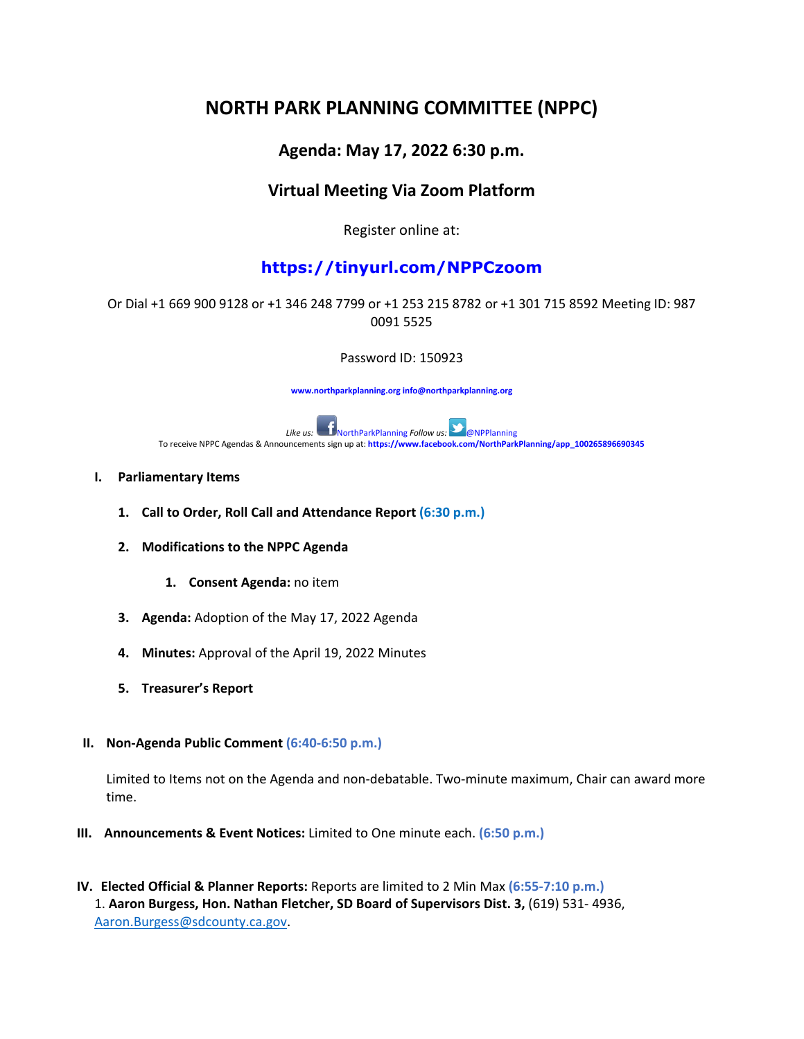# **NORTH PARK PLANNING COMMITTEE (NPPC)**

## **Agenda: May 17, 2022 6:30 p.m.**

## **Virtual Meeting Via Zoom Platform**

Register online at:

# **https://tinyurl.com/NPPCzoom**

#### Or Dial +1 669 900 9128 or +1 346 248 7799 or +1 253 215 8782 or +1 301 715 8592 Meeting ID: 987 0091 5525

Password ID: 150923

**www.northparkplanning.org info@northparkplanning.org**



#### **I. Parliamentary Items**

- **1. Call to Order, Roll Call and Attendance Report (6:30 p.m.)**
- **2. Modifications to the NPPC Agenda**
	- **1. Consent Agenda:** no item
- **3. Agenda:** Adoption of the May 17, 2022 Agenda
- **4. Minutes:** Approval of the April 19, 2022 Minutes
- **5. Treasurer's Report**
- **II. Non-Agenda Public Comment (6:40-6:50 p.m.)**

Limited to Items not on the Agenda and non-debatable. Two-minute maximum, Chair can award more time.

- **III. Announcements & Event Notices:** Limited to One minute each. **(6:50 p.m.)**
- **IV. Elected Official & Planner Reports:** Reports are limited to 2 Min Max **(6:55-7:10 p.m.)** 1. **Aaron Burgess, Hon. Nathan Fletcher, SD Board of Supervisors Dist. 3,** (619) 531- 4936, [Aaron.Burgess@sdcounty.ca.gov.](mailto:Aaron.Burgess@sdcounty.ca.gov)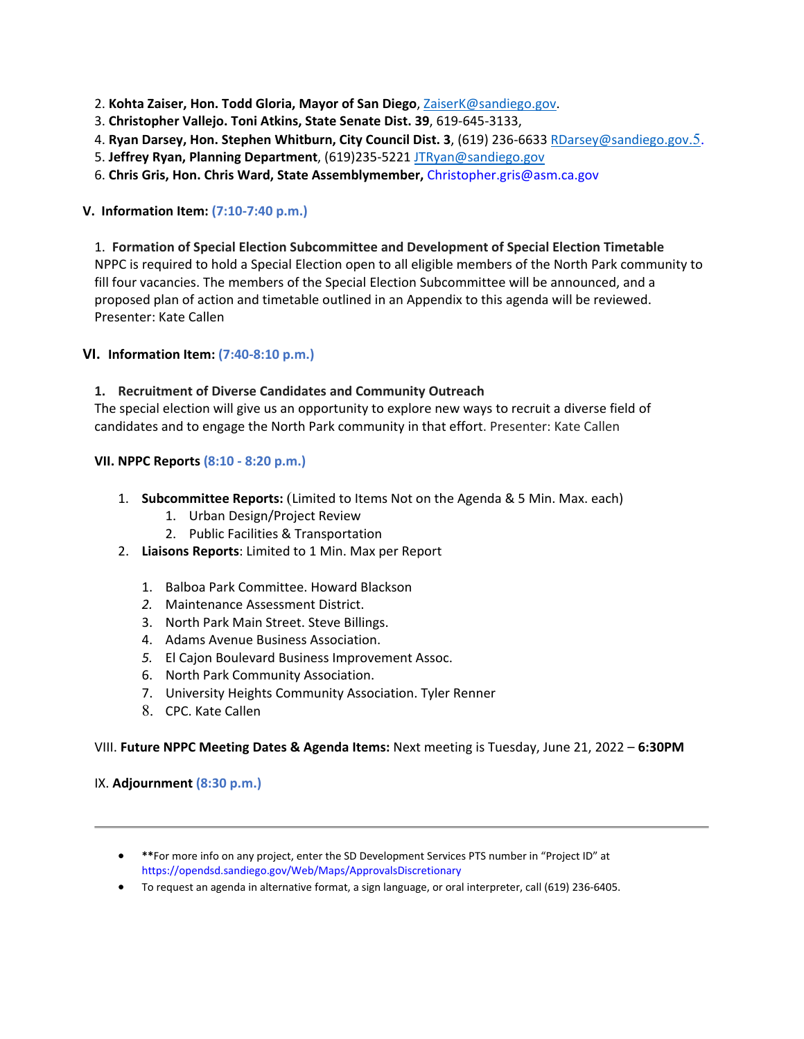- 2. **Kohta Zaiser, Hon. Todd Gloria, Mayor of San Diego**, [ZaiserK@sandiego.gov.](mailto:ZaiserK@sandiego.gov)
- 3. **Christopher Vallejo. Toni Atkins, State Senate Dist. 39**, 619-645-3133,
- 4. **Ryan Darsey, Hon. Stephen Whitburn, City Council Dist. 3**, (619) 236-663[3 RDarsey@sandiego.gov](mailto:RDarsey@sandiego.gov.5)[.5.](mailto:RDarsey@sandiego.gov.5)
- 5. **Jeffrey Ryan, Planning Department**, (619)235-5221 [JTRyan@sandiego.gov](mailto:JTRyan@sandiego.gov)
- 6. **Chris Gris, Hon. Chris Ward, State Assemblymember,** Christopher.gris@asm.ca.gov

#### **V. Information Item: (7:10-7:40 p.m.)**

1. **Formation of Special Election Subcommittee and Development of Special Election Timetable** NPPC is required to hold a Special Election open to all eligible members of the North Park community to fill four vacancies. The members of the Special Election Subcommittee will be announced, and a proposed plan of action and timetable outlined in an Appendix to this agenda will be reviewed. Presenter: Kate Callen

#### **VI.I Information Item: (7:40-8:10 p.m.)**

#### **1. Recruitment of Diverse Candidates and Community Outreach**

The special election will give us an opportunity to explore new ways to recruit a diverse field of candidates and to engage the North Park community in that effort. Presenter: Kate Callen

#### **VII. NPPC Reports (8:10 - 8:20 p.m.)**

- 1. **Subcommittee Reports:** (Limited to Items Not on the Agenda & 5 Min. Max. each)
	- 1. Urban Design/Project Review
	- 2. Public Facilities & Transportation
- 2. **Liaisons Reports**: Limited to 1 Min. Max per Report
	- 1. Balboa Park Committee. Howard Blackson
	- *2.* Maintenance Assessment District.
	- 3. North Park Main Street. Steve Billings.
	- 4. Adams Avenue Business Association.
	- *5.* El Cajon Boulevard Business Improvement Assoc.
	- 6. North Park Community Association.
	- 7. University Heights Community Association. Tyler Renner
	- 8. CPC. Kate Callen

#### VIII. **Future NPPC Meeting Dates & Agenda Items:** Next meeting is Tuesday, June 21, 2022 – **6:30PM**

#### IX. **Adjournment (8:30 p.m.)**

- **\*\***For more info on any project, enter the SD Development Services PTS number in "Project ID" at https://opendsd.sandiego.gov/Web/Maps/ApprovalsDiscretionary
- To request an agenda in alternative format, a sign language, or oral interpreter, call (619) 236-6405.